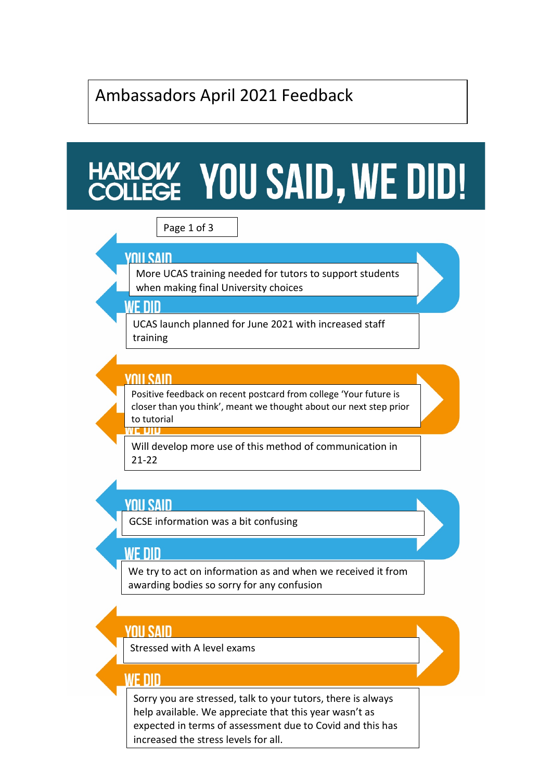# Ambassadors April 2021 Feedback

# HARLOW YOU SAID, WE DID!

## Page 1 of 3

### **YNII SAIN**

More UCAS training needed for tutors to support students when making final University choices

#### WF NIN

UCAS launch planned for June 2021 with increased staff training

#### **YNII SAIN**

VE DID

Positive feedback on recent postcard from college 'Your future is closer than you think', meant we thought about our next step prior to tutorial

Will develop more use of this method of communication in 21-22

# **YOU SAID**

GCSE information was a bit confusing

### WF NIN

We try to act on information as and when we received it from awarding bodies so sorry for any confusion

## **YNII SAIN**

Stressed with A level exams

### WE DID

Sorry you are stressed, talk to your tutors, there is always help available. We appreciate that this year wasn't as expected in terms of assessment due to Covid and this has increased the stress levels for all.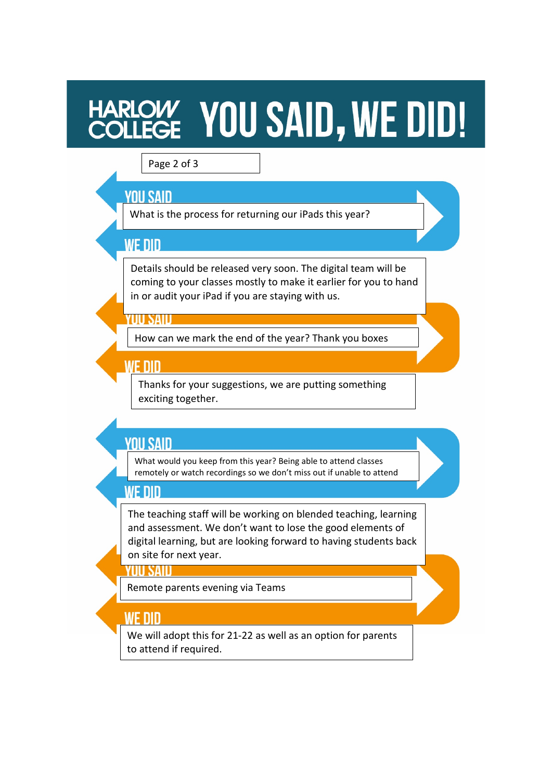# HARLOW YOU SAID, WE DID!

#### Page 2 of 3

## **YOU SAID**

What is the process for returning our iPads this year?

# **WF DID**

Details should be released very soon. The digital team will be coming to your classes mostly to make it earlier for you to hand in or audit your iPad if you are staying with us.

### **UU SAID**

How can we mark the end of the year? Thank you boxes

## WF NIN

Thanks for your suggestions, we are putting something exciting together.

# **YOU SAID**

What would you keep from this year? Being able to attend classes remotely or watch recordings so we don't miss out if unable to attend

# WF NID

The teaching staff will be working on blended teaching, learning and assessment. We don't want to lose the good elements of digital learning, but are looking forward to having students back on site for next year.

### YUU SAID

Remote parents evening via Teams

# **WE DID**

We will adopt this for 21-22 as well as an option for parents to attend if required.